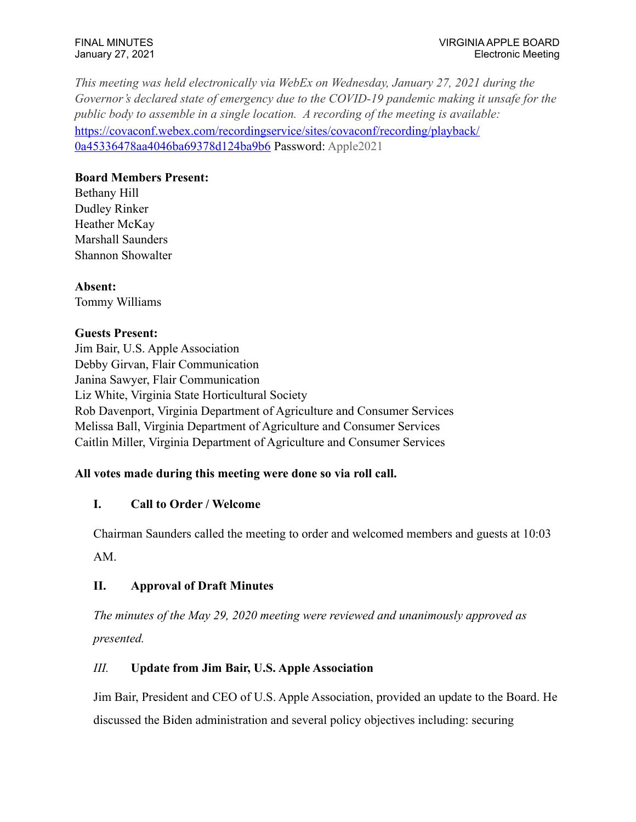*This meeting was held electronically via WebEx on Wednesday, January 27, 2021 during the Governor's declared state of emergency due to the COVID-19 pandemic making it unsafe for the public body to assemble in a single location. A recording of the meeting is available:*  [https://covaconf.webex.com/recordingservice/sites/covaconf/recording/playback/](https://covaconf.webex.com/recordingservice/sites/covaconf/recording/playback/0a45336478aa4046ba69378d124ba9b6) [0a45336478aa4046ba69378d124ba9b6](https://covaconf.webex.com/recordingservice/sites/covaconf/recording/playback/0a45336478aa4046ba69378d124ba9b6) Password: Apple2021

## **Board Members Present:**

Bethany Hill Dudley Rinker Heather McKay Marshall Saunders Shannon Showalter

**Absent:** Tommy Williams

### **Guests Present:**

Jim Bair, U.S. Apple Association Debby Girvan, Flair Communication Janina Sawyer, Flair Communication Liz White, Virginia State Horticultural Society Rob Davenport, Virginia Department of Agriculture and Consumer Services Melissa Ball, Virginia Department of Agriculture and Consumer Services Caitlin Miller, Virginia Department of Agriculture and Consumer Services

## **All votes made during this meeting were done so via roll call.**

## **I. Call to Order / Welcome**

Chairman Saunders called the meeting to order and welcomed members and guests at 10:03

AM.

## **II. Approval of Draft Minutes**

*The minutes of the May 29, 2020 meeting were reviewed and unanimously approved as presented.* 

# *III.* **Update from Jim Bair, U.S. Apple Association**

Jim Bair, President and CEO of U.S. Apple Association, provided an update to the Board. He discussed the Biden administration and several policy objectives including: securing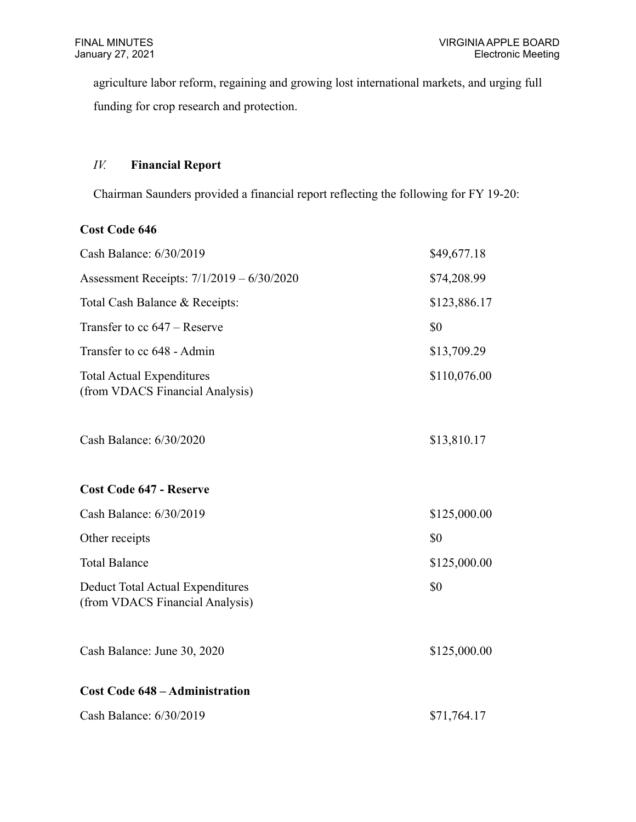agriculture labor reform, regaining and growing lost international markets, and urging full funding for crop research and protection.

# *IV.* **Financial Report**

Chairman Saunders provided a financial report reflecting the following for FY 19-20:

## **Cost Code 646**

| Cash Balance: 6/30/2019                                                    | \$49,677.18  |
|----------------------------------------------------------------------------|--------------|
| Assessment Receipts: 7/1/2019 - 6/30/2020                                  | \$74,208.99  |
| Total Cash Balance & Receipts:                                             | \$123,886.17 |
| Transfer to $cc 647$ – Reserve                                             | \$0          |
| Transfer to cc 648 - Admin                                                 | \$13,709.29  |
| <b>Total Actual Expenditures</b><br>(from VDACS Financial Analysis)        | \$110,076.00 |
| Cash Balance: 6/30/2020                                                    | \$13,810.17  |
| <b>Cost Code 647 - Reserve</b>                                             |              |
| Cash Balance: 6/30/2019                                                    | \$125,000.00 |
| Other receipts                                                             | \$0          |
| <b>Total Balance</b>                                                       | \$125,000.00 |
| <b>Deduct Total Actual Expenditures</b><br>(from VDACS Financial Analysis) | \$0          |
| Cash Balance: June 30, 2020                                                | \$125,000.00 |
| <b>Cost Code 648 – Administration</b>                                      |              |
| Cash Balance: 6/30/2019                                                    | \$71,764.17  |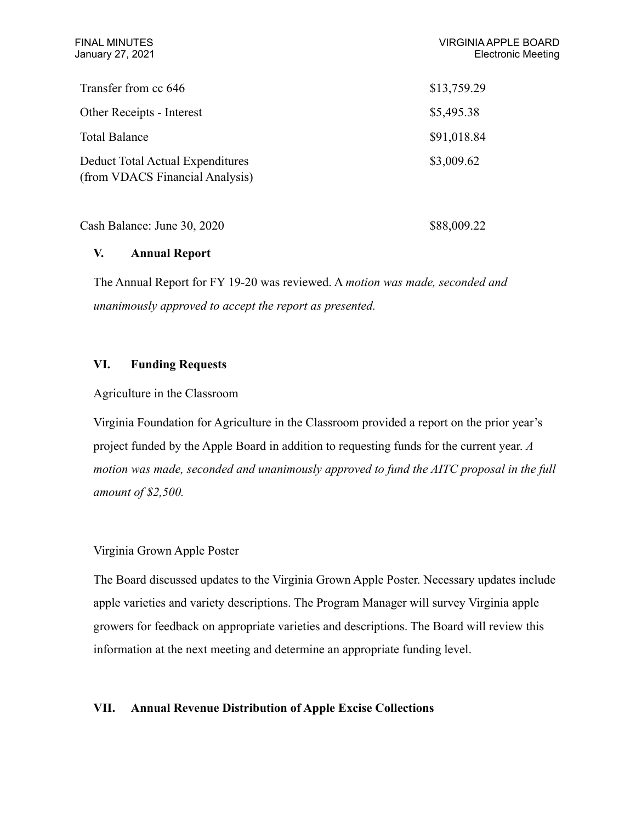| <b>FINAL MINUTES</b><br>January 27, 2021                            | <b>VIRGINIA APPLE BOARD</b><br><b>Electronic Meeting</b> |
|---------------------------------------------------------------------|----------------------------------------------------------|
| Transfer from cc 646                                                | \$13,759.29                                              |
| Other Receipts - Interest                                           | \$5,495.38                                               |
| <b>Total Balance</b>                                                | \$91,018.84                                              |
| Deduct Total Actual Expenditures<br>(from VDACS Financial Analysis) | \$3,009.62                                               |

Cash Balance: June 30, 2020 \$88,009.22

#### **V. Annual Report**

The Annual Report for FY 19-20 was reviewed. A *motion was made, seconded and unanimously approved to accept the report as presented.*

### **VI. Funding Requests**

### Agriculture in the Classroom

Virginia Foundation for Agriculture in the Classroom provided a report on the prior year's project funded by the Apple Board in addition to requesting funds for the current year. *A motion was made, seconded and unanimously approved to fund the AITC proposal in the full amount of \$2,500.*

## Virginia Grown Apple Poster

The Board discussed updates to the Virginia Grown Apple Poster. Necessary updates include apple varieties and variety descriptions. The Program Manager will survey Virginia apple growers for feedback on appropriate varieties and descriptions. The Board will review this information at the next meeting and determine an appropriate funding level.

#### **VII. Annual Revenue Distribution of Apple Excise Collections**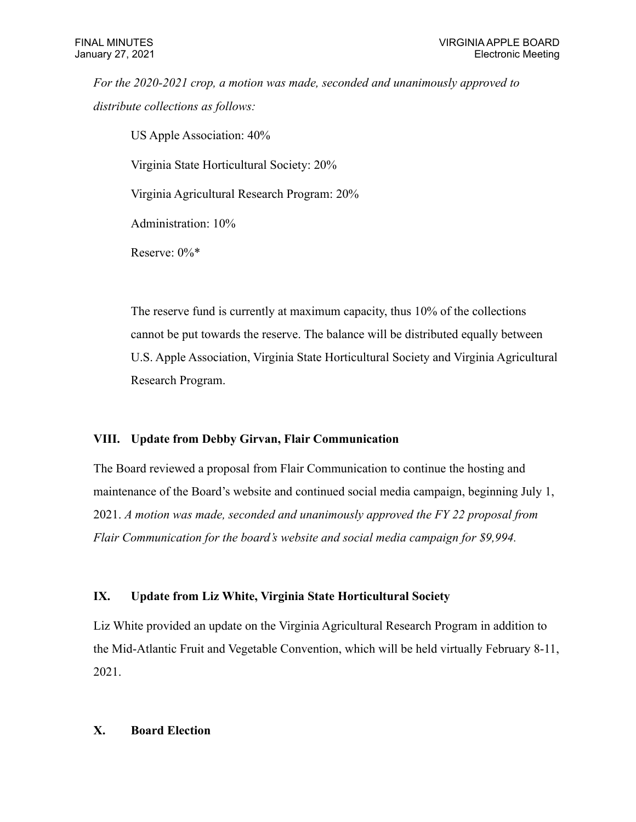*For the 2020-2021 crop, a motion was made, seconded and unanimously approved to distribute collections as follows:*

US Apple Association: 40%

Virginia State Horticultural Society: 20%

Virginia Agricultural Research Program: 20%

Administration: 10%

Reserve: 0%\*

The reserve fund is currently at maximum capacity, thus 10% of the collections cannot be put towards the reserve. The balance will be distributed equally between U.S. Apple Association, Virginia State Horticultural Society and Virginia Agricultural Research Program.

#### **VIII. Update from Debby Girvan, Flair Communication**

The Board reviewed a proposal from Flair Communication to continue the hosting and maintenance of the Board's website and continued social media campaign, beginning July 1, 2021. *A motion was made, seconded and unanimously approved the FY 22 proposal from Flair Communication for the board's website and social media campaign for \$9,994.*

### **IX. Update from Liz White, Virginia State Horticultural Society**

Liz White provided an update on the Virginia Agricultural Research Program in addition to the Mid-Atlantic Fruit and Vegetable Convention, which will be held virtually February 8-11, 2021.

#### **X. Board Election**